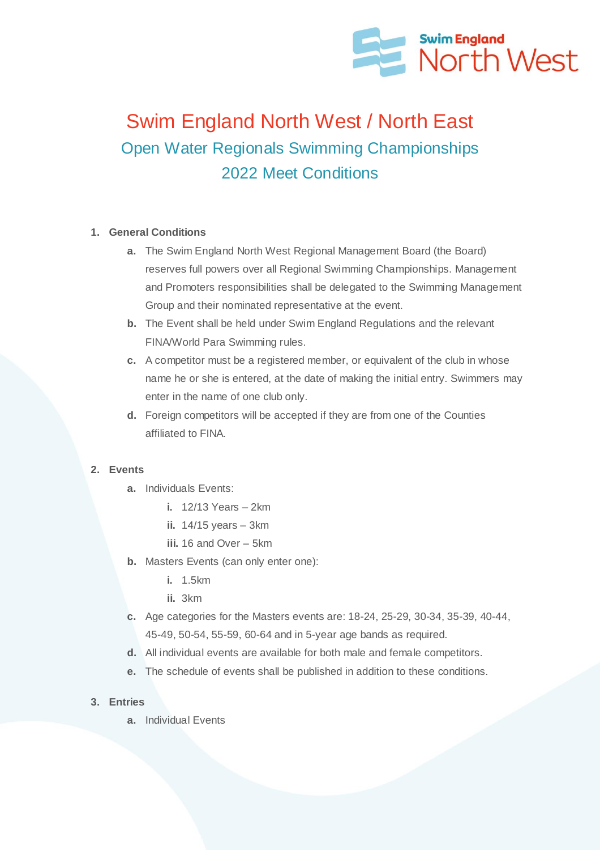

# Swim England North West / North East Open Water Regionals Swimming Championships 2022 Meet Conditions

## **1. General Conditions**

- **a.** The Swim England North West Regional Management Board (the Board) reserves full powers over all Regional Swimming Championships. Management and Promoters responsibilities shall be delegated to the Swimming Management Group and their nominated representative at the event.
- **b.** The Event shall be held under Swim England Regulations and the relevant FINA/World Para Swimming rules.
- **c.** A competitor must be a registered member, or equivalent of the club in whose name he or she is entered, at the date of making the initial entry. Swimmers may enter in the name of one club only.
- **d.** Foreign competitors will be accepted if they are from one of the Counties affiliated to FINA.

## **2. Events**

- **a.** Individuals Events:
	- **i.** 12/13 Years 2km
	- **ii.** 14/15 years 3km
	- **iii.** 16 and Over 5km
- **b.** Masters Events (can only enter one):
	- **i.** 1.5km
	- **ii.** 3km
- **c.** Age categories for the Masters events are: 18-24, 25-29, 30-34, 35-39, 40-44, 45-49, 50-54, 55-59, 60-64 and in 5-year age bands as required.
- **d.** All individual events are available for both male and female competitors.
- **e.** The schedule of events shall be published in addition to these conditions.
- **3. Entries**
	- **a.** Individual Events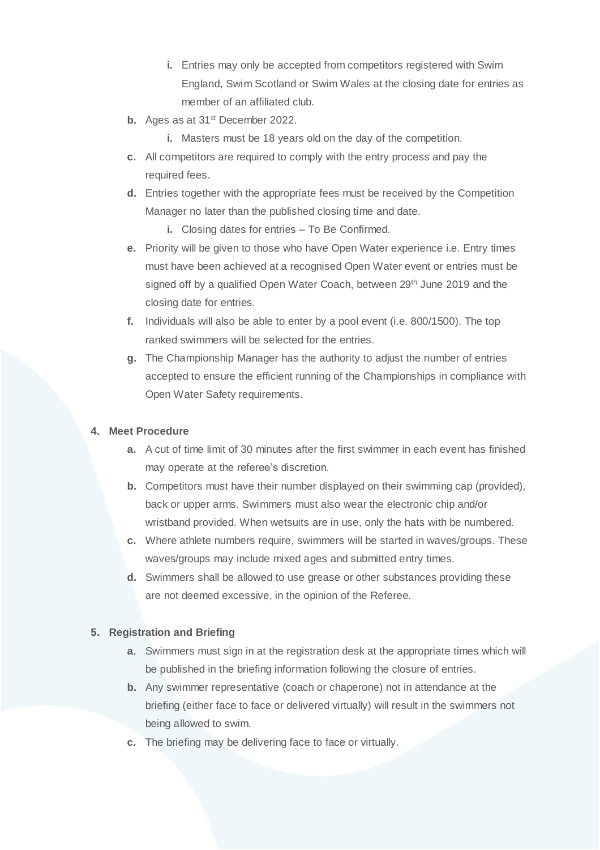- **i.** Entries may only be accepted from competitors registered with Swim England, Swim Scotland or Swim Wales at the closing date for entries as member of an affiliated club.
- **b.** Ages as at 31<sup>st</sup> December 2022.
	- **i.** Masters must be 18 years old on the day of the competition.
- **c.** All competitors are required to comply with the entry process and pay the required fees.
- **d.** Entries together with the appropriate fees must be received by the Competition Manager no later than the published closing time and date.
	- **i.** Closing dates for entries To Be Confirmed.
- **e.** Priority will be given to those who have Open Water experience i.e. Entry times must have been achieved at a recognised Open Water event or entries must be signed off by a qualified Open Water Coach, between 29<sup>th</sup> June 2019 and the closing date for entries.
- **f.** Individuals will also be able to enter by a pool event (i.e. 800/1500). The top ranked swimmers will be selected for the entries.
- **g.** The Championship Manager has the authority to adjust the number of entries accepted to ensure the efficient running of the Championships in compliance with Open Water Safety requirements.

## **4. Meet Procedure**

- **a.** A cut of time limit of 30 minutes after the first swimmer in each event has finished may operate at the referee's discretion.
- **b.** Competitors must have their number displayed on their swimming cap (provided), back or upper arms. Swimmers must also wear the electronic chip and/or wristband provided. When wetsuits are in use, only the hats with be numbered.
- **c.** Where athlete numbers require, swimmers will be started in waves/groups. These waves/groups may include mixed ages and submitted entry times.
- **d.** Swimmers shall be allowed to use grease or other substances providing these are not deemed excessive, in the opinion of the Referee.

## **5. Registration and Briefing**

- **a.** Swimmers must sign in at the registration desk at the appropriate times which will be published in the briefing information following the closure of entries.
- **b.** Any swimmer representative (coach or chaperone) not in attendance at the briefing (either face to face or delivered virtually) will result in the swimmers not being allowed to swim.
- **c.** The briefing may be delivering face to face or virtually.